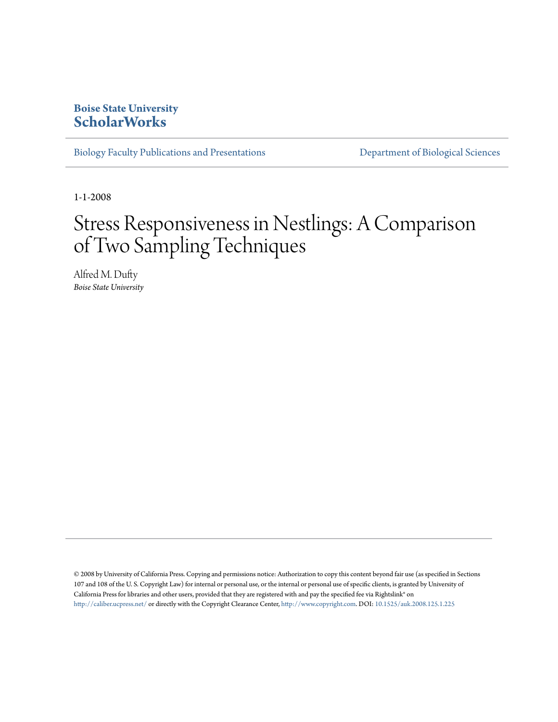# **Boise State University [ScholarWorks](https://scholarworks.boisestate.edu)**

[Biology Faculty Publications and Presentations](https://scholarworks.boisestate.edu/bio_facpubs) **[Department of Biological Sciences](https://scholarworks.boisestate.edu/biosciences)** 

1-1-2008

# Stress Responsiveness in Nestlings: A Comparison of Two Sampling Techniques

Alfred M. Dufty *Boise State University*

© 2008 by University of California Press. Copying and permissions notice: Authorization to copy this content beyond fair use (as specified in Sections 107 and 108 of the U. S. Copyright Law) for internal or personal use, or the internal or personal use of specific clients, is granted by University of California Press for libraries and other users, provided that they are registered with and pay the specified fee via Rightslink® on <http://caliber.ucpress.net/> or directly with the Copyright Clearance Center, [http://www.copyright.com.](http://www.copyright.com) DOI: [10.1525/auk.2008.125.1.225](http://dx.doi.org/10.1525/auk.2008.125.1.225)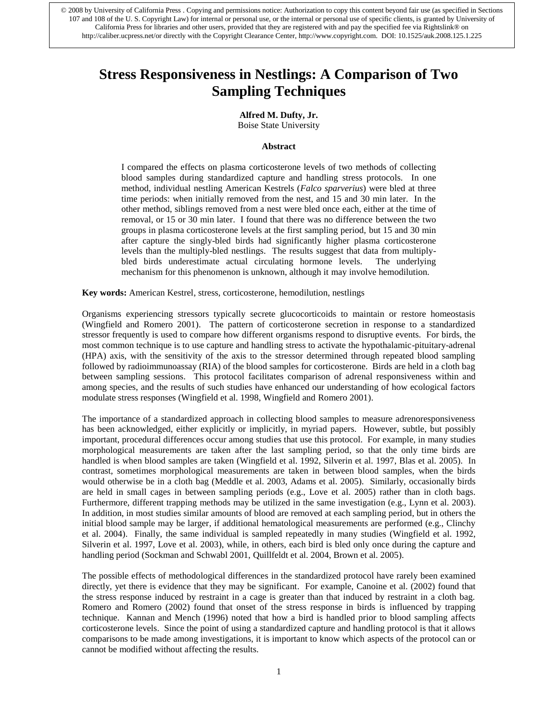# **Stress Responsiveness in Nestlings: A Comparison of Two Sampling Techniques**

# **Alfred M. Dufty, Jr.**

Boise State University

#### **Abstract**

I compared the effects on plasma corticosterone levels of two methods of collecting blood samples during standardized capture and handling stress protocols. In one method, individual nestling American Kestrels (*Falco sparverius*) were bled at three time periods: when initially removed from the nest, and 15 and 30 min later. In the other method, siblings removed from a nest were bled once each, either at the time of removal, or 15 or 30 min later. I found that there was no difference between the two groups in plasma corticosterone levels at the first sampling period, but 15 and 30 min after capture the singly-bled birds had significantly higher plasma corticosterone levels than the multiply-bled nestlings. The results suggest that data from multiplybled birds underestimate actual circulating hormone levels. The underlying mechanism for this phenomenon is unknown, although it may involve hemodilution.

**Key words:** American Kestrel, stress, corticosterone, hemodilution, nestlings

Organisms experiencing stressors typically secrete glucocorticoids to maintain or restore homeostasis (Wingfield and Romero 2001). The pattern of corticosterone secretion in response to a standardized stressor frequently is used to compare how different organisms respond to disruptive events. For birds, the most common technique is to use capture and handling stress to activate the hypothalamic-pituitary-adrenal (HPA) axis, with the sensitivity of the axis to the stressor determined through repeated blood sampling followed by radioimmunoassay (RIA) of the blood samples for corticosterone. Birds are held in a cloth bag between sampling sessions. This protocol facilitates comparison of adrenal responsiveness within and among species, and the results of such studies have enhanced our understanding of how ecological factors modulate stress responses (Wingfield et al. 1998, Wingfield and Romero 2001).

The importance of a standardized approach in collecting blood samples to measure adrenoresponsiveness has been acknowledged, either explicitly or implicitly, in myriad papers. However, subtle, but possibly important, procedural differences occur among studies that use this protocol. For example, in many studies morphological measurements are taken after the last sampling period, so that the only time birds are handled is when blood samples are taken (Wingfield et al. 1992, Silverin et al. 1997, Blas et al. 2005). In contrast, sometimes morphological measurements are taken in between blood samples, when the birds would otherwise be in a cloth bag (Meddle et al. 2003, Adams et al. 2005). Similarly, occasionally birds are held in small cages in between sampling periods (e.g., Love et al. 2005) rather than in cloth bags. Furthermore, different trapping methods may be utilized in the same investigation (e.g., Lynn et al. 2003). In addition, in most studies similar amounts of blood are removed at each sampling period, but in others the initial blood sample may be larger, if additional hematological measurements are performed (e.g., Clinchy et al. 2004). Finally, the same individual is sampled repeatedly in many studies (Wingfield et al. 1992, Silverin et al. 1997, Love et al. 2003), while, in others, each bird is bled only once during the capture and handling period (Sockman and Schwabl 2001, Quillfeldt et al. 2004, Brown et al. 2005).

The possible effects of methodological differences in the standardized protocol have rarely been examined directly, yet there is evidence that they may be significant. For example, Canoine et al. (2002) found that the stress response induced by restraint in a cage is greater than that induced by restraint in a cloth bag. Romero and Romero (2002) found that onset of the stress response in birds is influenced by trapping technique. Kannan and Mench (1996) noted that how a bird is handled prior to blood sampling affects corticosterone levels. Since the point of using a standardized capture and handling protocol is that it allows comparisons to be made among investigations, it is important to know which aspects of the protocol can or cannot be modified without affecting the results.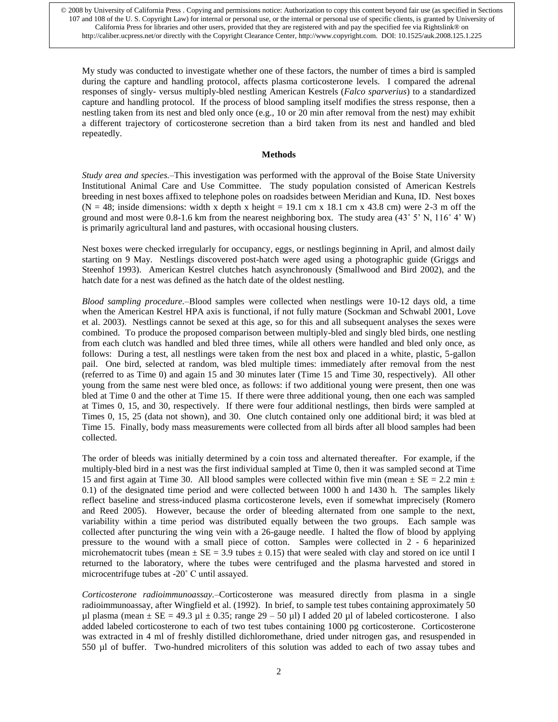My study was conducted to investigate whether one of these factors, the number of times a bird is sampled during the capture and handling protocol, affects plasma corticosterone levels. I compared the adrenal responses of singly- versus multiply-bled nestling American Kestrels (*Falco sparverius*) to a standardized capture and handling protocol. If the process of blood sampling itself modifies the stress response, then a nestling taken from its nest and bled only once (e.g., 10 or 20 min after removal from the nest) may exhibit a different trajectory of corticosterone secretion than a bird taken from its nest and handled and bled repeatedly.

## **Methods**

*Study area and species.–*This investigation was performed with the approval of the Boise State University Institutional Animal Care and Use Committee. The study population consisted of American Kestrels breeding in nest boxes affixed to telephone poles on roadsides between Meridian and Kuna, ID. Nest boxes  $(N = 48$ ; inside dimensions; width x depth x height = 19.1 cm x 18.1 cm x 43.8 cm) were 2-3 m off the ground and most were 0.8-1.6 km from the nearest neighboring box. The study area  $(43° 5' N, 116° 4' W)$ is primarily agricultural land and pastures, with occasional housing clusters.

Nest boxes were checked irregularly for occupancy, eggs, or nestlings beginning in April, and almost daily starting on 9 May. Nestlings discovered post-hatch were aged using a photographic guide (Griggs and Steenhof 1993). American Kestrel clutches hatch asynchronously (Smallwood and Bird 2002), and the hatch date for a nest was defined as the hatch date of the oldest nestling.

*Blood sampling procedure.–*Blood samples were collected when nestlings were 10-12 days old, a time when the American Kestrel HPA axis is functional, if not fully mature (Sockman and Schwabl 2001, Love et al. 2003). Nestlings cannot be sexed at this age, so for this and all subsequent analyses the sexes were combined. To produce the proposed comparison between multiply-bled and singly bled birds, one nestling from each clutch was handled and bled three times, while all others were handled and bled only once, as follows: During a test, all nestlings were taken from the nest box and placed in a white, plastic, 5-gallon pail. One bird, selected at random, was bled multiple times: immediately after removal from the nest (referred to as Time 0) and again 15 and 30 minutes later (Time 15 and Time 30, respectively). All other young from the same nest were bled once, as follows: if two additional young were present, then one was bled at Time 0 and the other at Time 15. If there were three additional young, then one each was sampled at Times 0, 15, and 30, respectively. If there were four additional nestlings, then birds were sampled at Times 0, 15, 25 (data not shown), and 30. One clutch contained only one additional bird; it was bled at Time 15. Finally, body mass measurements were collected from all birds after all blood samples had been collected.

The order of bleeds was initially determined by a coin toss and alternated thereafter. For example, if the multiply-bled bird in a nest was the first individual sampled at Time 0, then it was sampled second at Time 15 and first again at Time 30. All blood samples were collected within five min (mean  $\pm$  SE = 2.2 min  $\pm$ 0.1) of the designated time period and were collected between 1000 h and 1430 h. The samples likely reflect baseline and stress-induced plasma corticosterone levels, even if somewhat imprecisely (Romero and Reed 2005). However, because the order of bleeding alternated from one sample to the next, variability within a time period was distributed equally between the two groups. Each sample was collected after puncturing the wing vein with a 26-gauge needle. I halted the flow of blood by applying pressure to the wound with a small piece of cotton. Samples were collected in 2 - 6 heparinized microhematocrit tubes (mean  $\pm$  SE = 3.9 tubes  $\pm$  0.15) that were sealed with clay and stored on ice until I returned to the laboratory, where the tubes were centrifuged and the plasma harvested and stored in microcentrifuge tubes at -20˚ C until assayed.

*Corticosterone radioimmunoassay.–*Corticosterone was measured directly from plasma in a single radioimmunoassay, after Wingfield et al. (1992). In brief, to sample test tubes containing approximately 50 µl plasma (mean  $\pm$  SE = 49.3 µl  $\pm$  0.35; range 29 – 50 µl) I added 20 µl of labeled corticosterone. I also added labeled corticosterone to each of two test tubes containing 1000 pg corticosterone. Corticosterone was extracted in 4 ml of freshly distilled dichloromethane, dried under nitrogen gas, and resuspended in 550 µl of buffer. Two-hundred microliters of this solution was added to each of two assay tubes and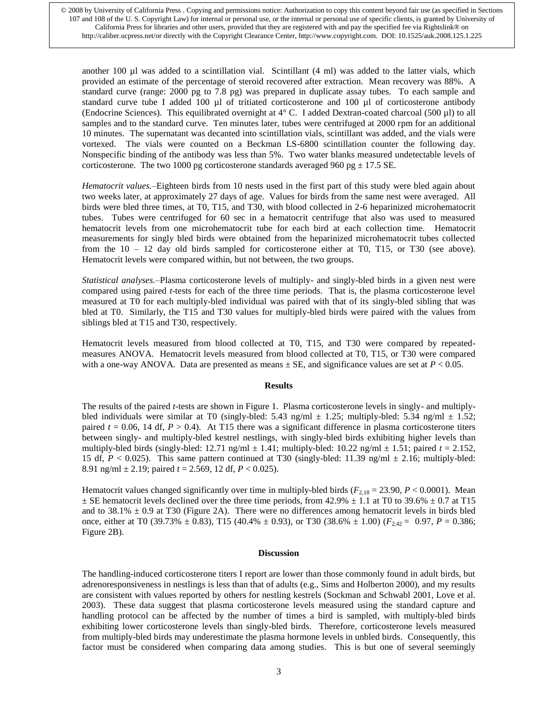another 100 µl was added to a scintillation vial. Scintillant (4 ml) was added to the latter vials, which provided an estimate of the percentage of steroid recovered after extraction. Mean recovery was 88%. A standard curve (range: 2000 pg to 7.8 pg) was prepared in duplicate assay tubes. To each sample and standard curve tube I added 100 µl of tritiated corticosterone and 100 µl of corticosterone antibody (Endocrine Sciences). This equilibrated overnight at  $4^{\circ}$  C. I added Dextran-coated charcoal (500 µl) to all samples and to the standard curve. Ten minutes later, tubes were centrifuged at 2000 rpm for an additional 10 minutes. The supernatant was decanted into scintillation vials, scintillant was added, and the vials were vortexed. The vials were counted on a Beckman LS-6800 scintillation counter the following day. Nonspecific binding of the antibody was less than 5%. Two water blanks measured undetectable levels of corticosterone. The two 1000 pg corticosterone standards averaged 960 pg  $\pm$  17.5 SE.

*Hematocrit values.–*Eighteen birds from 10 nests used in the first part of this study were bled again about two weeks later, at approximately 27 days of age. Values for birds from the same nest were averaged. All birds were bled three times, at T0, T15, and T30, with blood collected in 2-6 heparinized microhematocrit tubes. Tubes were centrifuged for 60 sec in a hematocrit centrifuge that also was used to measured hematocrit levels from one microhematocrit tube for each bird at each collection time. Hematocrit measurements for singly bled birds were obtained from the heparinized microhematocrit tubes collected from the 10 – 12 day old birds sampled for corticosterone either at T0, T15, or T30 (see above). Hematocrit levels were compared within, but not between, the two groups.

*Statistical analyses.–*Plasma corticosterone levels of multiply- and singly-bled birds in a given nest were compared using paired *t*-tests for each of the three time periods. That is, the plasma corticosterone level measured at T0 for each multiply-bled individual was paired with that of its singly-bled sibling that was bled at T0. Similarly, the T15 and T30 values for multiply-bled birds were paired with the values from siblings bled at T15 and T30, respectively.

Hematocrit levels measured from blood collected at T0, T15, and T30 were compared by repeatedmeasures ANOVA. Hematocrit levels measured from blood collected at T0, T15, or T30 were compared with a one-way ANOVA. Data are presented as means  $\pm$  SE, and significance values are set at  $P < 0.05$ .

### **Results**

The results of the paired *t*-tests are shown in Figure 1. Plasma corticosterone levels in singly- and multiplybled individuals were similar at T0 (singly-bled: 5.43 ng/ml  $\pm$  1.25; multiply-bled: 5.34 ng/ml  $\pm$  1.52; paired  $t = 0.06$ , 14 df,  $P > 0.4$ ). At T15 there was a significant difference in plasma corticosterone titers between singly- and multiply-bled kestrel nestlings, with singly-bled birds exhibiting higher levels than multiply-bled birds (singly-bled:  $12.71$  ng/ml  $\pm$  1.41; multiply-bled:  $10.22$  ng/ml  $\pm$  1.51; paired  $t = 2.152$ , 15 df,  $P < 0.025$ ). This same pattern continued at T30 (singly-bled: 11.39 ng/ml  $\pm$  2.16; multiply-bled: 8.91 ng/ml ± 2.19; paired *t* = 2.569, 12 df, *P* < 0.025).

Hematocrit values changed significantly over time in multiply-bled birds  $(F_{2,18} = 23.90, P < 0.0001)$ . Mean  $\pm$  SE hematocrit levels declined over the three time periods, from 42.9%  $\pm$  1.1 at T0 to 39.6%  $\pm$  0.7 at T15 and to 38.1%  $\pm$  0.9 at T30 (Figure 2A). There were no differences among hematocrit levels in birds bled once, either at T0 (39.73%  $\pm$  0.83), T15 (40.4%  $\pm$  0.93), or T30 (38.6%  $\pm$  1.00) ( $F_{2,42}$  = 0.97, *P* = 0.386; Figure 2B).

#### **Discussion**

The handling-induced corticosterone titers I report are lower than those commonly found in adult birds, but adrenoresponsiveness in nestlings is less than that of adults (e.g., Sims and Holberton 2000), and my results are consistent with values reported by others for nestling kestrels (Sockman and Schwabl 2001, Love et al. 2003). These data suggest that plasma corticosterone levels measured using the standard capture and handling protocol can be affected by the number of times a bird is sampled, with multiply-bled birds exhibiting lower corticosterone levels than singly-bled birds. Therefore, corticosterone levels measured from multiply-bled birds may underestimate the plasma hormone levels in unbled birds. Consequently, this factor must be considered when comparing data among studies. This is but one of several seemingly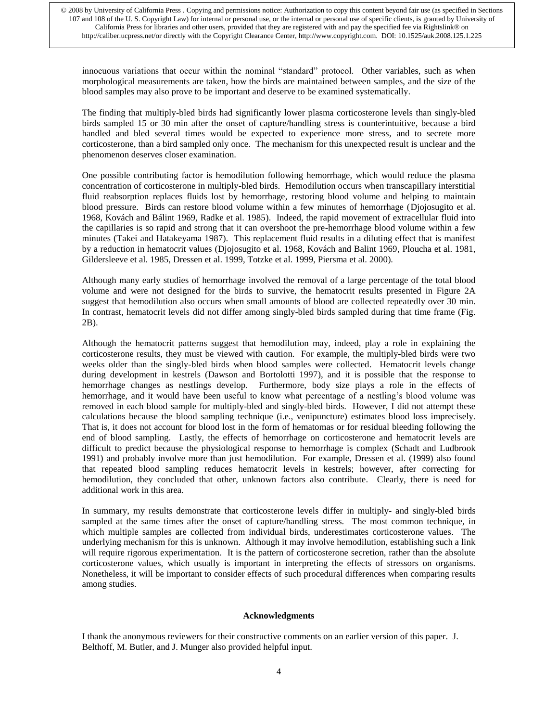innocuous variations that occur within the nominal "standard" protocol. Other variables, such as when morphological measurements are taken, how the birds are maintained between samples, and the size of the blood samples may also prove to be important and deserve to be examined systematically.

The finding that multiply-bled birds had significantly lower plasma corticosterone levels than singly-bled birds sampled 15 or 30 min after the onset of capture/handling stress is counterintuitive, because a bird handled and bled several times would be expected to experience more stress, and to secrete more corticosterone, than a bird sampled only once. The mechanism for this unexpected result is unclear and the phenomenon deserves closer examination.

One possible contributing factor is hemodilution following hemorrhage, which would reduce the plasma concentration of corticosterone in multiply-bled birds. Hemodilution occurs when transcapillary interstitial fluid reabsorption replaces fluids lost by hemorrhage, restoring blood volume and helping to maintain blood pressure. Birds can restore blood volume within a few minutes of hemorrhage (Djojosugito et al. 1968, Kovách and Bálint 1969, Radke et al. 1985). Indeed, the rapid movement of extracellular fluid into the capillaries is so rapid and strong that it can overshoot the pre-hemorrhage blood volume within a few minutes (Takei and Hatakeyama 1987). This replacement fluid results in a diluting effect that is manifest by a reduction in hematocrit values (Djojosugito et al. 1968, Kovách and Balint 1969, Ploucha et al. 1981, Gildersleeve et al. 1985, Dressen et al. 1999, Totzke et al. 1999, Piersma et al. 2000).

Although many early studies of hemorrhage involved the removal of a large percentage of the total blood volume and were not designed for the birds to survive, the hematocrit results presented in Figure 2A suggest that hemodilution also occurs when small amounts of blood are collected repeatedly over 30 min. In contrast, hematocrit levels did not differ among singly-bled birds sampled during that time frame (Fig. 2B).

Although the hematocrit patterns suggest that hemodilution may, indeed, play a role in explaining the corticosterone results, they must be viewed with caution. For example, the multiply-bled birds were two weeks older than the singly-bled birds when blood samples were collected. Hematocrit levels change during development in kestrels (Dawson and Bortolotti 1997), and it is possible that the response to hemorrhage changes as nestlings develop. Furthermore, body size plays a role in the effects of hemorrhage, and it would have been useful to know what percentage of a nestling's blood volume was removed in each blood sample for multiply-bled and singly-bled birds. However, I did not attempt these calculations because the blood sampling technique (i.e., venipuncture) estimates blood loss imprecisely. That is, it does not account for blood lost in the form of hematomas or for residual bleeding following the end of blood sampling. Lastly, the effects of hemorrhage on corticosterone and hematocrit levels are difficult to predict because the physiological response to hemorrhage is complex (Schadt and Ludbrook 1991) and probably involve more than just hemodilution. For example, Dressen et al. (1999) also found that repeated blood sampling reduces hematocrit levels in kestrels; however, after correcting for hemodilution, they concluded that other, unknown factors also contribute. Clearly, there is need for additional work in this area.

In summary, my results demonstrate that corticosterone levels differ in multiply- and singly-bled birds sampled at the same times after the onset of capture/handling stress. The most common technique, in which multiple samples are collected from individual birds, underestimates corticosterone values. The underlying mechanism for this is unknown. Although it may involve hemodilution, establishing such a link will require rigorous experimentation. It is the pattern of corticosterone secretion, rather than the absolute corticosterone values, which usually is important in interpreting the effects of stressors on organisms. Nonetheless, it will be important to consider effects of such procedural differences when comparing results among studies.

#### **Acknowledgments**

I thank the anonymous reviewers for their constructive comments on an earlier version of this paper. J. Belthoff, M. Butler, and J. Munger also provided helpful input.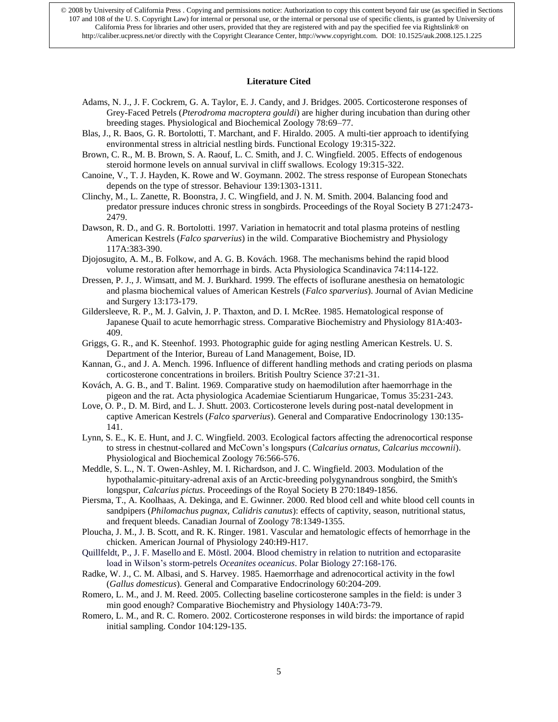#### **Literature Cited**

- Adams, N. J., J. F. Cockrem, G. A. Taylor, E. J. Candy, and J. Bridges. 2005. Corticosterone responses of Grey-Faced Petrels (*Pterodroma macroptera gouldi*) are higher during incubation than during other breeding stages. Physiological and Biochemical Zoology 78:69–77.
- Blas, J., R. Baos, G. R. Bortolotti, T. Marchant, and F. Hiraldo. 2005. A multi-tier approach to identifying environmental stress in altricial nestling birds. Functional Ecology 19:315-322.
- Brown, C. R., M. B. Brown, S. A. Raouf, L. C. Smith, and J. C. Wingfield. 2005. Effects of endogenous steroid hormone levels on annual survival in cliff swallows. Ecology 19:315-322.
- Canoine, V., T. J. Hayden, K. Rowe and W. Goymann. 2002. The stress response of European Stonechats depends on the type of stressor. Behaviour 139:1303-1311.
- Clinchy, M., L. Zanette, R. Boonstra, J. C. Wingfield, and J. N. M. Smith. 2004. Balancing food and predator pressure induces chronic stress in songbirds. Proceedings of the Royal Society B 271:2473- 2479.
- Dawson, R. D., and G. R. Bortolotti. 1997. Variation in hematocrit and total plasma proteins of nestling American Kestrels (*Falco sparverius*) in the wild. Comparative Biochemistry and Physiology 117A:383-390.
- Djojosugito, A. M., B. Folkow, and A. G. B. Kovách. 1968. The mechanisms behind the rapid blood volume restoration after hemorrhage in birds. Acta Physiologica Scandinavica 74:114-122.
- Dressen, P. J., J. Wimsatt, and M. J. Burkhard. 1999. The effects of isoflurane anesthesia on hematologic and plasma biochemical values of American Kestrels (*Falco sparverius*). Journal of Avian Medicine and Surgery 13:173-179.
- Gildersleeve, R. P., M. J. Galvin, J. P. Thaxton, and D. I. McRee. 1985. Hematological response of Japanese Quail to acute hemorrhagic stress. Comparative Biochemistry and Physiology 81A:403- 409.
- Griggs, G. R., and K. Steenhof. 1993. Photographic guide for aging nestling American Kestrels. U. S. Department of the Interior, Bureau of Land Management, Boise, ID.
- Kannan, G., and J. A. Mench. 1996. Influence of different handling methods and crating periods on plasma corticosterone concentrations in broilers. British Poultry Science 37:21-31.
- Kovách, A. G. B., and T. Balint. 1969. Comparative study on haemodilution after haemorrhage in the pigeon and the rat. Acta physiologica Academiae Scientiarum Hungaricae, Tomus 35:231-243.
- Love, O. P., D. M. Bird, and L. J. Shutt. 2003. Corticosterone levels during post-natal development in captive American Kestrels (*Falco sparverius*). General and Comparative Endocrinology 130:135- 141.
- Lynn, S. E., K. E. Hunt, and J. C. Wingfield. 2003. Ecological factors affecting the adrenocortical response to stress in chestnut-collared and McCown's longspurs (*Calcarius ornatus, Calcarius mccownii*). Physiological and Biochemical Zoology 76:566-576.
- Meddle, S. L., N. T. Owen-Ashley, M. I. Richardson, and J. C. Wingfield. 2003. Modulation of the hypothalamic-pituitary-adrenal axis of an Arctic-breeding polygynandrous songbird, the Smith's longspur, *Calcarius pictus*. Proceedings of the Royal Society B 270:1849-1856.
- Piersma, T., A. Koolhaas, A. Dekinga, and E. Gwinner. 2000. Red blood cell and white blood cell counts in sandpipers (*Philomachus pugnax, Calidris canutus*): effects of captivity, season, nutritional status, and frequent bleeds. Canadian Journal of Zoology 78:1349-1355.
- Ploucha, J. M., J. B. Scott, and R. K. Ringer. 1981. Vascular and hematologic effects of hemorrhage in the chicken. American Journal of Physiology 240:H9-H17.
- Quillfeldt, P., J. F. Masello and E. Möstl. 2004. Blood chemistry in relation to nutrition and ectoparasite load in Wilson's storm-petrels *Oceanites oceanicus*. Polar Biology 27:168-176.
- Radke, W. J., C. M. Albasi, and S. Harvey. 1985. Haemorrhage and adrenocortical activity in the fowl (*Gallus domesticus*). General and Comparative Endocrinology 60:204-209.
- Romero, L. M., and J. M. Reed. 2005. Collecting baseline corticosterone samples in the field: is under 3 min good enough? Comparative Biochemistry and Physiology 140A:73-79.
- Romero, L. M., and R. C. Romero. 2002. Corticosterone responses in wild birds: the importance of rapid initial sampling. Condor 104:129-135.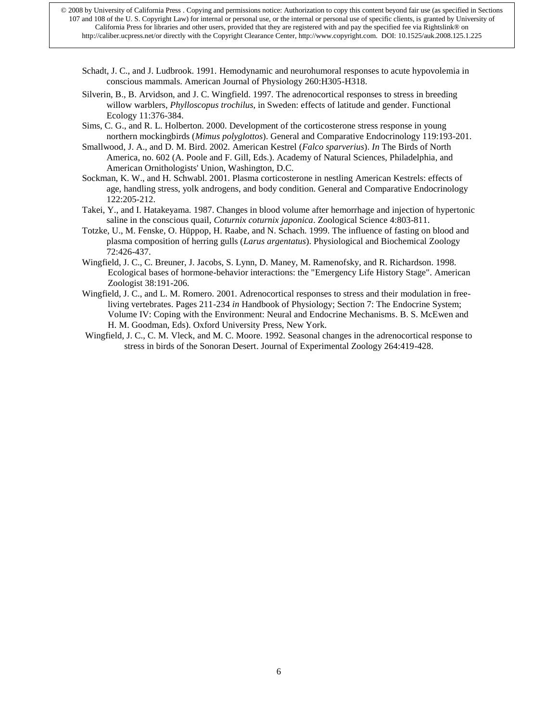- Schadt, J. C., and J. Ludbrook. 1991. Hemodynamic and neurohumoral responses to acute hypovolemia in conscious mammals. American Journal of Physiology 260:H305-H318.
- Silverin, B., B. Arvidson, and J. C. Wingfield. 1997. The adrenocortical responses to stress in breeding willow warblers, *Phylloscopus trochilus*, in Sweden: effects of latitude and gender. Functional Ecology 11:376-384.
- Sims, C. G., and R. L. Holberton. 2000. Development of the corticosterone stress response in young northern mockingbirds (*Mimus polyglottos*). General and Comparative Endocrinology 119:193-201.
- Smallwood, J. A., and D. M. Bird. 2002. American Kestrel (*Falco sparverius*). *In* The Birds of North America, no. 602 (A. Poole and F. Gill, Eds.). Academy of Natural Sciences, Philadelphia, and American Ornithologists' Union, Washington, D.C.
- Sockman, K. W., and H. Schwabl. 2001. Plasma corticosterone in nestling American Kestrels: effects of age, handling stress, yolk androgens, and body condition. General and Comparative Endocrinology 122:205-212.
- Takei, Y., and I. Hatakeyama. 1987. Changes in blood volume after hemorrhage and injection of hypertonic saline in the conscious quail, *Coturnix coturnix japonica*. Zoological Science 4:803-811.
- Totzke, U., M. Fenske, O. Hüppop, H. Raabe, and N. Schach. 1999. The influence of fasting on blood and plasma composition of herring gulls (*Larus argentatus*). Physiological and Biochemical Zoology 72:426-437.
- Wingfield, J. C., C. Breuner, J. Jacobs, S. Lynn, D. Maney, M. Ramenofsky, and R. Richardson. 1998. Ecological bases of hormone-behavior interactions: the "Emergency Life History Stage". American Zoologist 38:191-206.
- Wingfield, J. C., and L. M. Romero. 2001. Adrenocortical responses to stress and their modulation in freeliving vertebrates. Pages 211-234 *in* Handbook of Physiology; Section 7: The Endocrine System; Volume IV: Coping with the Environment: Neural and Endocrine Mechanisms. B. S. McEwen and H. M. Goodman, Eds). Oxford University Press, New York.
- Wingfield, J. C., C. M. Vleck, and M. C. Moore. 1992. Seasonal changes in the adrenocortical response to stress in birds of the Sonoran Desert. Journal of Experimental Zoology 264:419-428.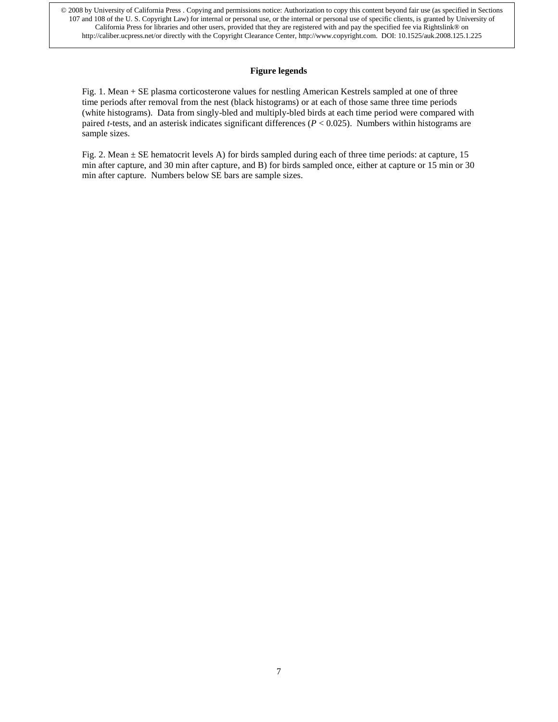## **Figure legends**

Fig. 1. Mean + SE plasma corticosterone values for nestling American Kestrels sampled at one of three time periods after removal from the nest (black histograms) or at each of those same three time periods (white histograms). Data from singly-bled and multiply-bled birds at each time period were compared with paired *t*-tests, and an asterisk indicates significant differences (*P* < 0.025). Numbers within histograms are sample sizes.

Fig. 2. Mean ± SE hematocrit levels A) for birds sampled during each of three time periods: at capture, 15 min after capture, and 30 min after capture, and B) for birds sampled once, either at capture or 15 min or 30 min after capture. Numbers below SE bars are sample sizes.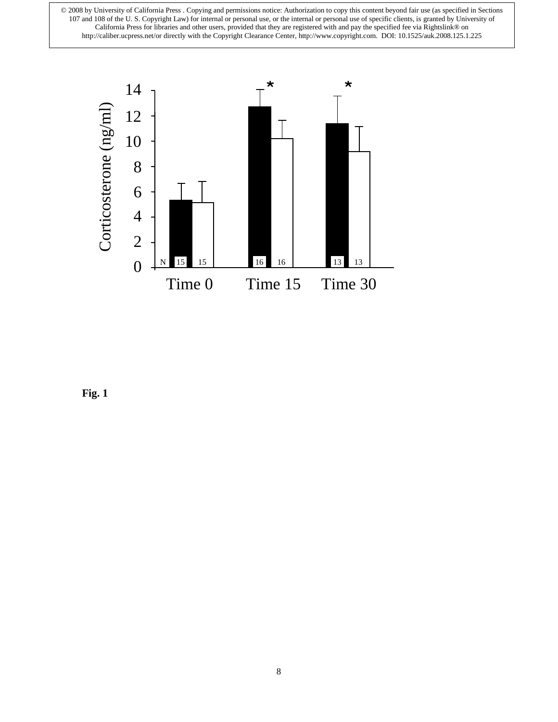

Fig. 1